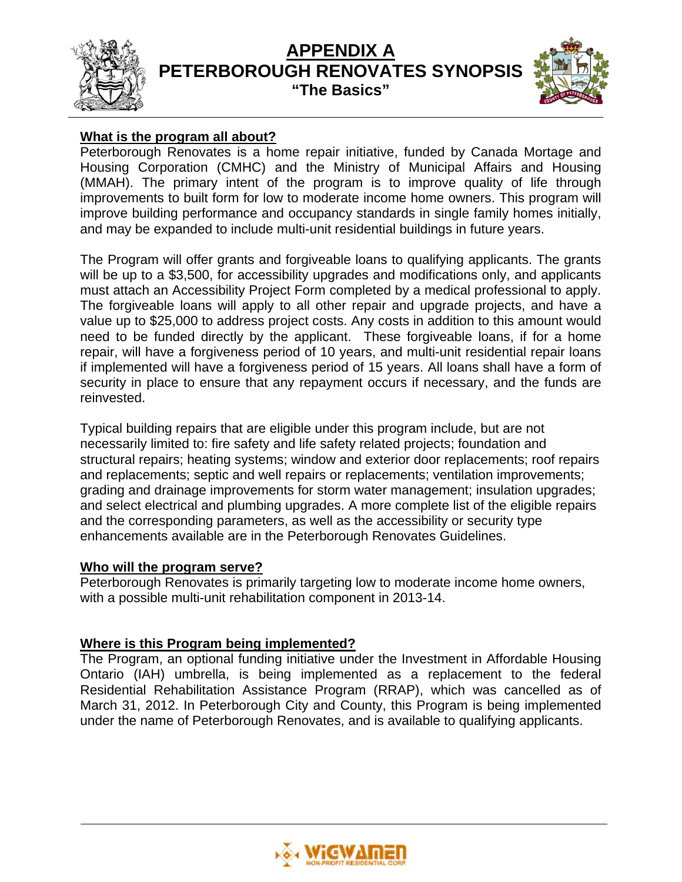

# **APPENDIX A PETERBOROUGH RENOVATES SYNOPSIS "The Basics"**



# **What is the program all about?**

Peterborough Renovates is a home repair initiative, funded by Canada Mortage and Housing Corporation (CMHC) and the Ministry of Municipal Affairs and Housing (MMAH). The primary intent of the program is to improve quality of life through improvements to built form for low to moderate income home owners. This program will improve building performance and occupancy standards in single family homes initially, and may be expanded to include multi-unit residential buildings in future years.

The Program will offer grants and forgiveable loans to qualifying applicants. The grants will be up to a \$3,500, for accessibility upgrades and modifications only, and applicants must attach an Accessibility Project Form completed by a medical professional to apply. The forgiveable loans will apply to all other repair and upgrade projects, and have a value up to \$25,000 to address project costs. Any costs in addition to this amount would need to be funded directly by the applicant. These forgiveable loans, if for a home repair, will have a forgiveness period of 10 years, and multi-unit residential repair loans if implemented will have a forgiveness period of 15 years. All loans shall have a form of security in place to ensure that any repayment occurs if necessary, and the funds are reinvested.

Typical building repairs that are eligible under this program include, but are not necessarily limited to: fire safety and life safety related projects; foundation and structural repairs; heating systems; window and exterior door replacements; roof repairs and replacements; septic and well repairs or replacements; ventilation improvements; grading and drainage improvements for storm water management; insulation upgrades; and select electrical and plumbing upgrades. A more complete list of the eligible repairs and the corresponding parameters, as well as the accessibility or security type enhancements available are in the Peterborough Renovates Guidelines.

## **Who will the program serve?**

Peterborough Renovates is primarily targeting low to moderate income home owners, with a possible multi-unit rehabilitation component in 2013-14.

# **Where is this Program being implemented?**

The Program, an optional funding initiative under the Investment in Affordable Housing Ontario (IAH) umbrella, is being implemented as a replacement to the federal Residential Rehabilitation Assistance Program (RRAP), which was cancelled as of March 31, 2012. In Peterborough City and County, this Program is being implemented under the name of Peterborough Renovates, and is available to qualifying applicants.